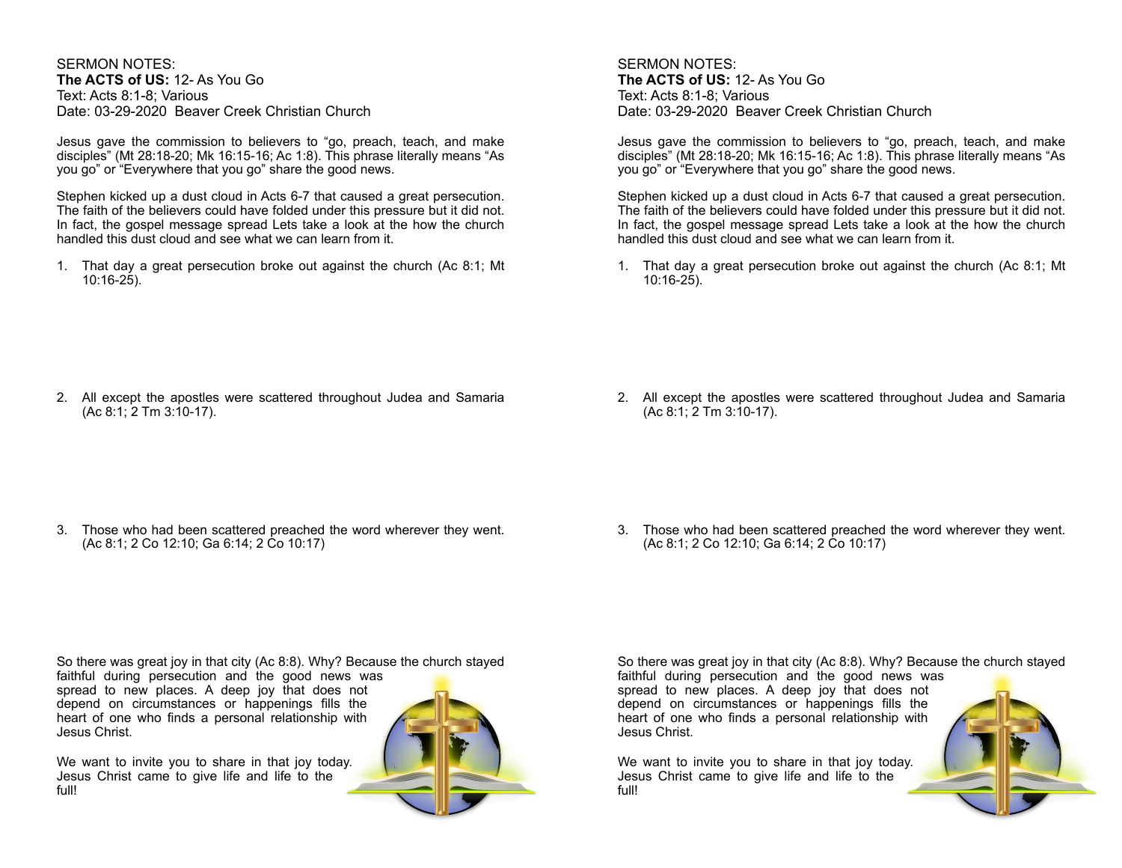SERMON NOTES: **The ACTS of US:** 12- As You Go Text: Acts 8:1-8; Various Date: 03-29-2020 Beaver Creek Christian Church

Jesus gave the commission to believers to "go, preach, teach, and make disciples" (Mt 28:18-20; Mk 16:15-16; Ac 1:8). This phrase literally means "As you go" or "Everywhere that you go" share the good news.

Stephen kicked up a dust cloud in Acts 6-7 that caused a great persecution. The faith of the believers could have folded under this pressure but it did not. In fact, the gospel message spread Lets take a look at the how the church handled this dust cloud and see what we can learn from it.

1. That day a great persecution broke out against the church (Ac 8:1; Mt 10:16-25).

# SERMON NOTES: **The ACTS of US:** 12- As You Go Text: Acts 8:1-8; Various Date: 03-29-2020 Beaver Creek Christian Church

Jesus gave the commission to believers to "go, preach, teach, and make disciples" (Mt 28:18-20; Mk 16:15-16; Ac 1:8). This phrase literally means "As you go" or "Everywhere that you go" share the good news.

Stephen kicked up a dust cloud in Acts 6-7 that caused a great persecution. The faith of the believers could have folded under this pressure but it did not. In fact, the gospel message spread Lets take a look at the how the church handled this dust cloud and see what we can learn from it.

1. That day a great persecution broke out against the church (Ac 8:1; Mt 10:16-25).

2. All except the apostles were scattered throughout Judea and Samaria (Ac 8:1; 2 Tm 3:10-17).

3. Those who had been scattered preached the word wherever they went. (Ac 8:1; 2 Co 12:10; Ga 6:14; 2 Co 10:17)

2. All except the apostles were scattered throughout Judea and Samaria (Ac 8:1; 2 Tm 3:10-17).

3. Those who had been scattered preached the word wherever they went. (Ac 8:1; 2 Co 12:10; Ga 6:14; 2 Co 10:17)

So there was great joy in that city (Ac 8:8). Why? Because the church stayed faithful during persecution and the good news was spread to new places. A deep joy that does not depend on circumstances or happenings fills the heart of one who finds a personal relationship with Jesus Christ.

We want to invite you to share in that joy today. Jesus Christ came to give life and life to the full!



So there was great joy in that city (Ac 8:8). Why? Because the church stayed

faithful during persecution and the good news was spread to new places. A deep joy that does not depend on circumstances or happenings fills the heart of one who finds a personal relationship with Jesus Christ.

We want to invite you to share in that joy today. Jesus Christ came to give life and life to the full!